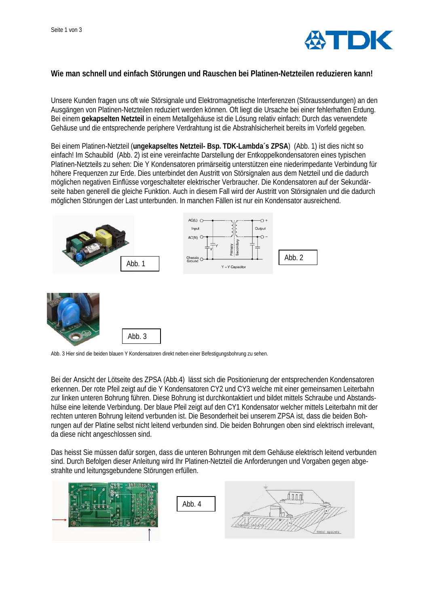

## **Wie man schnell und einfach Störungen und Rauschen bei Platinen-Netzteilen reduzieren kann!**

Unsere Kunden fragen uns oft wie Störsignale und Elektromagnetische Interferenzen (Störaussendungen) an den Ausgängen von Platinen-Netzteilen reduziert werden können. Oft liegt die Ursache bei einer fehlerhaften Erdung. Bei einem **gekapselten Netzteil** in einem Metallgehäuse ist die Lösung relativ einfach: Durch das verwendete Gehäuse und die entsprechende periphere Verdrahtung ist die Abstrahlsicherheit bereits im Vorfeld gegeben.

Bei einem Platinen-Netzteil (**ungekapseltes Netzteil- Bsp. TDK-Lambda´s ZPSA**) (Abb. 1) ist dies nicht so einfach! Im Schaubild (Abb. 2) ist eine vereinfachte Darstellung der Entkoppelkondensatoren eines typischen Platinen-Netzteils zu sehen: Die Y Kondensatoren primärseitig unterstützen eine niederimpedante Verbindung für höhere Frequenzen zur Erde. Dies unterbindet den Austritt von Störsignalen aus dem Netzteil und die dadurch möglichen negativen Einflüsse vorgeschalteter elektrischer Verbraucher. Die Kondensatoren auf der Sekundärseite haben generell die gleiche Funktion. Auch in diesem Fall wird der Austritt von Störsignalen und die dadurch möglichen Störungen der Last unterbunden. In manchen Fällen ist nur ein Kondensator ausreichend.



Abb. 3 Hier sind die beiden blauen Y Kondensatoren direkt neben einer Befestigungsbohrung zu sehen.

Bei der Ansicht der Lötseite des ZPSA (Abb.4) lässt sich die Positionierung der entsprechenden Kondensatoren erkennen. Der rote Pfeil zeigt auf die Y Kondensatoren CY2 und CY3 welche mit einer gemeinsamen Leiterbahn zur linken unteren Bohrung führen. Diese Bohrung ist durchkontaktiert und bildet mittels Schraube und Abstandshülse eine leitende Verbindung. Der blaue Pfeil zeigt auf den CY1 Kondensator welcher mittels Leiterbahn mit der rechten unteren Bohrung leitend verbunden ist. Die Besonderheit bei unserem ZPSA ist, dass die beiden Bohrungen auf der Platine selbst nicht leitend verbunden sind. Die beiden Bohrungen oben sind elektrisch irrelevant, da diese nicht angeschlossen sind.

Das heisst Sie müssen dafür sorgen, dass die unteren Bohrungen mit dem Gehäuse elektrisch leitend verbunden sind. Durch Befolgen dieser Anleitung wird Ihr Platinen-Netzteil die Anforderungen und Vorgaben gegen abgestrahlte und leitungsgebundene Störungen erfüllen.

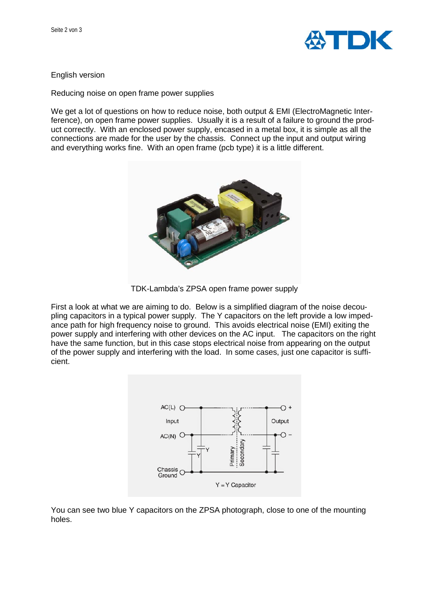

## English version

[Reducing noise on open frame power supplies](http://power-topics.blogspot.co.uk/2015/04/reducing-noise-on-open-frame-power.html)

We get a lot of questions on how to reduce noise, both output & EMI (ElectroMagnetic Interference), on open frame power supplies. Usually it is a result of a failure to ground the product correctly. With an enclosed power supply, encased in a metal box, it is simple as all the connections are made for the user by the chassis. Connect up the input and output wiring and everything works fine. With an open frame (pcb type) it is a little different.



TDK-Lambda's ZPSA open frame power supply

First a look at what we are aiming to do. Below is a simplified diagram of the noise decoupling capacitors in a typical power supply. The Y capacitors on the left provide a low impedance path for high frequency noise to ground. This avoids electrical noise (EMI) exiting the power supply and interfering with other devices on the AC input. The capacitors on the right have the same function, but in this case stops electrical noise from appearing on the output of the power supply and interfering with the load. In some cases, just one capacitor is sufficient.



You can see two blue Y capacitors on the ZPSA photograph, close to one of the mounting holes.